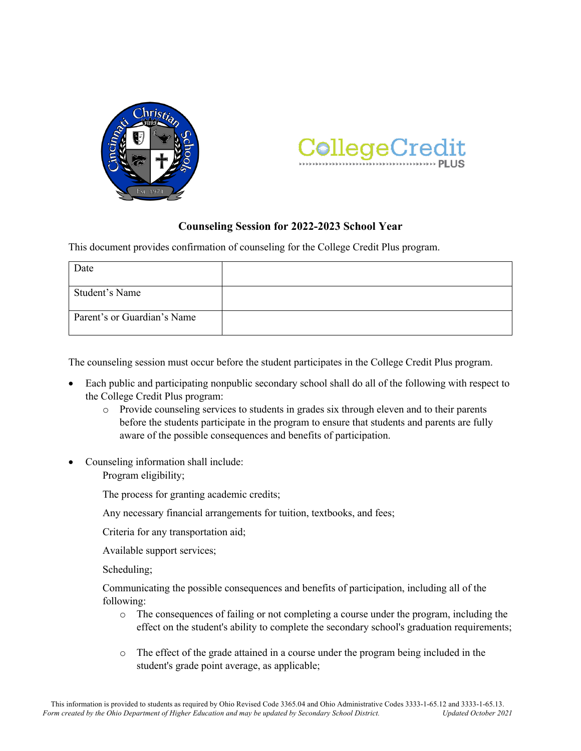



## **Counseling Session for 2022-2023 School Year**

This document provides confirmation of counseling for the College Credit Plus program.

| Date                        |  |
|-----------------------------|--|
| Student's Name              |  |
| Parent's or Guardian's Name |  |

The counseling session must occur before the student participates in the College Credit Plus program.

- Each public and participating nonpublic secondary school shall do all of the following with respect to the College Credit Plus program:
	- o Provide counseling services to students in grades six through eleven and to their parents before the students participate in the program to ensure that students and parents are fully aware of the possible consequences and benefits of participation.
- Counseling information shall include:

Program eligibility;

The process for granting academic credits;

Any necessary financial arrangements for tuition, textbooks, and fees;

Criteria for any transportation aid;

Available support services;

Scheduling;

 Communicating the possible consequences and benefits of participation, including all of the following:

- o The consequences of failing or not completing a course under the program, including the effect on the student's ability to complete the secondary school's graduation requirements;
- o The effect of the grade attained in a course under the program being included in the student's grade point average, as applicable;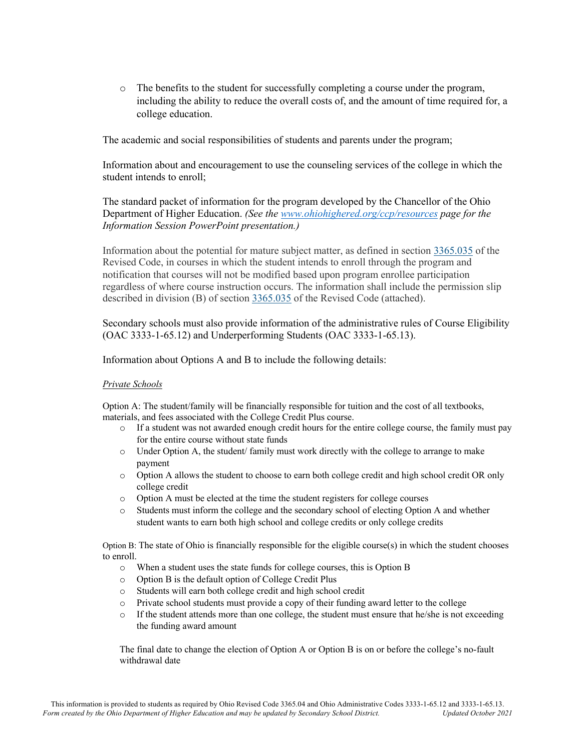o The benefits to the student for successfully completing a course under the program, including the ability to reduce the overall costs of, and the amount of time required for, a college education.

The academic and social responsibilities of students and parents under the program;

 Information about and encouragement to use the counseling services of the college in which the student intends to enroll;

 The standard packet of information for the program developed by the Chancellor of the Ohio Department of Higher Education. *(See the www.ohiohighered.org/ccp/resources page for the Information Session PowerPoint presentation.)*

 Information about the potential for mature subject matter, as defined in section 3365.035 of the Revised Code, in courses in which the student intends to enroll through the program and notification that courses will not be modified based upon program enrollee participation regardless of where course instruction occurs. The information shall include the permission slip described in division (B) of section 3365.035 of the Revised Code (attached).

 Secondary schools must also provide information of the administrative rules of Course Eligibility (OAC 3333-1-65.12) and Underperforming Students (OAC 3333-1-65.13).

Information about Options A and B to include the following details:

## *Private Schools*

Option A: The student/family will be financially responsible for tuition and the cost of all textbooks, materials, and fees associated with the College Credit Plus course.

- o If a student was not awarded enough credit hours for the entire college course, the family must pay for the entire course without state funds
- $\circ$  Under Option A, the student family must work directly with the college to arrange to make payment
- o Option A allows the student to choose to earn both college credit and high school credit OR only college credit
- o Option A must be elected at the time the student registers for college courses
- o Students must inform the college and the secondary school of electing Option A and whether student wants to earn both high school and college credits or only college credits

Option B: The state of Ohio is financially responsible for the eligible course $(s)$  in which the student chooses to enroll.

- o When a student uses the state funds for college courses, this is Option B
- o Option B is the default option of College Credit Plus
- o Students will earn both college credit and high school credit
- o Private school students must provide a copy of their funding award letter to the college
- $\circ$  If the student attends more than one college, the student must ensure that he/she is not exceeding the funding award amount

 The final date to change the election of Option A or Option B is on or before the college's no-fault withdrawal date